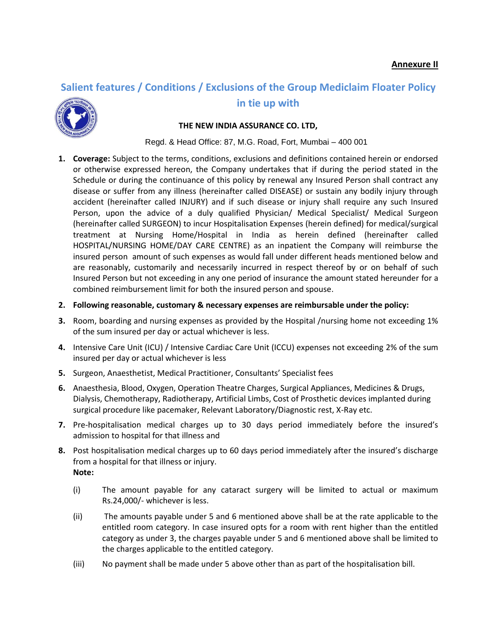## **Salient features / Conditions / Exclusions of the Group Mediclaim Floater Policy**



## **in tie up with**

## **THE NEW INDIA ASSURANCE CO. LTD,**

Regd. & Head Office: 87, M.G. Road, Fort, Mumbai – 400 001

**1. Coverage:** Subject to the terms, conditions, exclusions and definitions contained herein or endorsed or otherwise expressed hereon, the Company undertakes that if during the period stated in the Schedule or during the continuance of this policy by renewal any Insured Person shall contract any disease or suffer from any illness (hereinafter called DISEASE) or sustain any bodily injury through accident (hereinafter called INJURY) and if such disease or injury shall require any such Insured Person, upon the advice of a duly qualified Physician/ Medical Specialist/ Medical Surgeon (hereinafter called SURGEON) to incur Hospitalisation Expenses (herein defined) for medical/surgical treatment at Nursing Home/Hospital in India as herein defined (hereinafter called HOSPITAL/NURSING HOME/DAY CARE CENTRE) as an inpatient the Company will reimburse the insured person amount of such expenses as would fall under different heads mentioned below and are reasonably, customarily and necessarily incurred in respect thereof by or on behalf of such Insured Person but not exceeding in any one period of insurance the amount stated hereunder for a combined reimbursement limit for both the insured person and spouse.

## **2. Following reasonable, customary & necessary expenses are reimbursable under the policy:**

- **3.** Room, boarding and nursing expenses as provided by the Hospital /nursing home not exceeding 1% of the sum insured per day or actual whichever is less.
- **4.** Intensive Care Unit (ICU) / Intensive Cardiac Care Unit (ICCU) expenses not exceeding 2% of the sum insured per day or actual whichever is less
- **5.** Surgeon, Anaesthetist, Medical Practitioner, Consultants' Specialist fees
- **6.** Anaesthesia, Blood, Oxygen, Operation Theatre Charges, Surgical Appliances, Medicines & Drugs, Dialysis, Chemotherapy, Radiotherapy, Artificial Limbs, Cost of Prosthetic devices implanted during surgical procedure like pacemaker, Relevant Laboratory/Diagnostic rest, X-Ray etc.
- **7.** Pre-hospitalisation medical charges up to 30 days period immediately before the insured's admission to hospital for that illness and
- **8.** Post hospitalisation medical charges up to 60 days period immediately after the insured's discharge from a hospital for that illness or injury. **Note:**
	- (i) The amount payable for any cataract surgery will be limited to actual or maximum Rs.24,000/- whichever is less.
	- (ii) The amounts payable under 5 and 6 mentioned above shall be at the rate applicable to the entitled room category. In case insured opts for a room with rent higher than the entitled category as under 3, the charges payable under 5 and 6 mentioned above shall be limited to the charges applicable to the entitled category.
	- (iii) No payment shall be made under 5 above other than as part of the hospitalisation bill.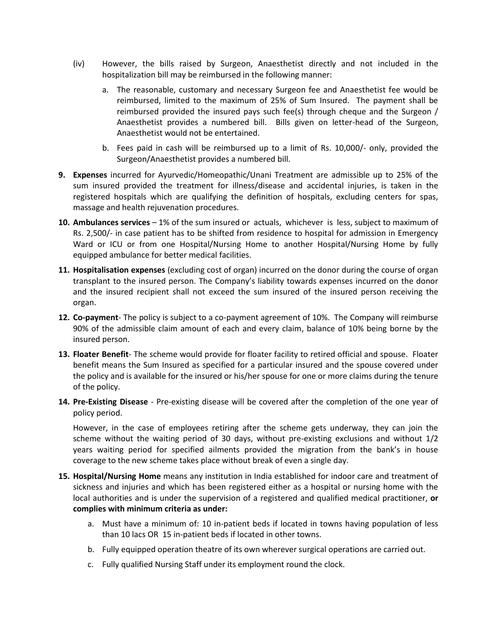- (iv) However, the bills raised by Surgeon, Anaesthetist directly and not included in the hospitalization bill may be reimbursed in the following manner:
	- a. The reasonable, customary and necessary Surgeon fee and Anaesthetist fee would be reimbursed, limited to the maximum of 25% of Sum Insured. The payment shall be reimbursed provided the insured pays such fee(s) through cheque and the Surgeon / Anaesthetist provides a numbered bill. Bills given on letter-head of the Surgeon, Anaesthetist would not be entertained.
	- b. Fees paid in cash will be reimbursed up to a limit of Rs. 10,000/- only, provided the Surgeon/Anaesthetist provides a numbered bill.
- **9. Expenses** incurred for Ayurvedic/Homeopathic/Unani Treatment are admissible up to 25% of the sum insured provided the treatment for illness/disease and accidental injuries, is taken in the registered hospitals which are qualifying the definition of hospitals, excluding centers for spas, massage and health rejuvenation procedures.
- **10. Ambulances services** 1% of the sum insured or actuals, whichever is less, subject to maximum of Rs. 2,500/- in case patient has to be shifted from residence to hospital for admission in Emergency Ward or ICU or from one Hospital/Nursing Home to another Hospital/Nursing Home by fully equipped ambulance for better medical facilities.
- **11. Hospitalisation expenses** (excluding cost of organ) incurred on the donor during the course of organ transplant to the insured person. The Company's liability towards expenses incurred on the donor and the insured recipient shall not exceed the sum insured of the insured person receiving the organ.
- **12. Co-payment** The policy is subject to a co-payment agreement of 10%. The Company will reimburse 90% of the admissible claim amount of each and every claim, balance of 10% being borne by the insured person.
- **13. Floater Benefit** The scheme would provide for floater facility to retired official and spouse. Floater benefit means the Sum Insured as specified for a particular insured and the spouse covered under the policy and is available for the insured or his/her spouse for one or more claims during the tenure of the policy.
- **14. Pre-Existing Disease** Pre-existing disease will be covered after the completion of the one year of policy period.

However, in the case of employees retiring after the scheme gets underway, they can join the scheme without the waiting period of 30 days, without pre-existing exclusions and without 1/2 years waiting period for specified ailments provided the migration from the bank's in house coverage to the new scheme takes place without break of even a single day.

- **15. Hospital/Nursing Home** means any institution in India established for indoor care and treatment of sickness and injuries and which has been registered either as a hospital or nursing home with the local authorities and is under the supervision of a registered and qualified medical practitioner, **or complies with minimum criteria as under:**
	- a. Must have a minimum of: 10 in-patient beds if located in towns having population of less than 10 lacs OR 15 in-patient beds if located in other towns.
	- b. Fully equipped operation theatre of its own wherever surgical operations are carried out.
	- c. Fully qualified Nursing Staff under its employment round the clock.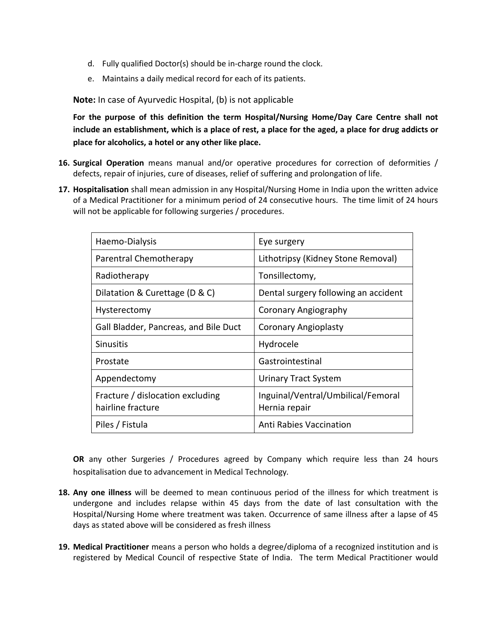- d. Fully qualified Doctor(s) should be in-charge round the clock.
- e. Maintains a daily medical record for each of its patients.

**Note:** In case of Ayurvedic Hospital, (b) is not applicable

**For the purpose of this definition the term Hospital/Nursing Home/Day Care Centre shall not include an establishment, which is a place of rest, a place for the aged, a place for drug addicts or place for alcoholics, a hotel or any other like place.**

- **16. Surgical Operation** means manual and/or operative procedures for correction of deformities / defects, repair of injuries, cure of diseases, relief of suffering and prolongation of life.
- **17. Hospitalisation** shall mean admission in any Hospital/Nursing Home in India upon the written advice of a Medical Practitioner for a minimum period of 24 consecutive hours. The time limit of 24 hours will not be applicable for following surgeries / procedures.

| Haemo-Dialysis                                        | Eye surgery                                         |
|-------------------------------------------------------|-----------------------------------------------------|
| Parentral Chemotherapy                                | Lithotripsy (Kidney Stone Removal)                  |
| Radiotherapy                                          | Tonsillectomy,                                      |
| Dilatation & Curettage (D & C)                        | Dental surgery following an accident                |
| Hysterectomy                                          | Coronary Angiography                                |
| Gall Bladder, Pancreas, and Bile Duct                 | <b>Coronary Angioplasty</b>                         |
| <b>Sinusitis</b>                                      | Hydrocele                                           |
| Prostate                                              | Gastrointestinal                                    |
| Appendectomy                                          | <b>Urinary Tract System</b>                         |
| Fracture / dislocation excluding<br>hairline fracture | Inguinal/Ventral/Umbilical/Femoral<br>Hernia repair |
| Piles / Fistula                                       | <b>Anti Rabies Vaccination</b>                      |

**OR** any other Surgeries / Procedures agreed by Company which require less than 24 hours hospitalisation due to advancement in Medical Technology*.*

- **18. Any one illness** will be deemed to mean continuous period of the illness for which treatment is undergone and includes relapse within 45 days from the date of last consultation with the Hospital/Nursing Home where treatment was taken. Occurrence of same illness after a lapse of 45 days as stated above will be considered as fresh illness
- **19. Medical Practitioner** means a person who holds a degree/diploma of a recognized institution and is registered by Medical Council of respective State of India. The term Medical Practitioner would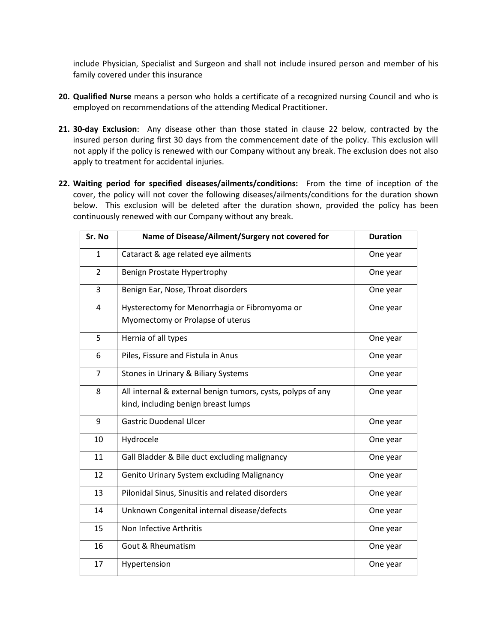include Physician, Specialist and Surgeon and shall not include insured person and member of his family covered under this insurance

- **20. Qualified Nurse** means a person who holds a certificate of a recognized nursing Council and who is employed on recommendations of the attending Medical Practitioner.
- **21. 30-day Exclusion**: Any disease other than those stated in clause 22 below, contracted by the insured person during first 30 days from the commencement date of the policy. This exclusion will not apply if the policy is renewed with our Company without any break. The exclusion does not also apply to treatment for accidental injuries.
- **22. Waiting period for specified diseases/ailments/conditions:** From the time of inception of the cover, the policy will not cover the following diseases/ailments/conditions for the duration shown below. This exclusion will be deleted after the duration shown, provided the policy has been continuously renewed with our Company without any break.

| Sr. No         | Name of Disease/Ailment/Surgery not covered for             | <b>Duration</b> |
|----------------|-------------------------------------------------------------|-----------------|
| $\mathbf{1}$   | Cataract & age related eye ailments                         | One year        |
| $\overline{2}$ | Benign Prostate Hypertrophy                                 | One year        |
| 3              | Benign Ear, Nose, Throat disorders                          | One year        |
| $\overline{4}$ | Hysterectomy for Menorrhagia or Fibromyoma or               | One year        |
|                | Myomectomy or Prolapse of uterus                            |                 |
| 5              | Hernia of all types                                         | One year        |
| 6              | Piles, Fissure and Fistula in Anus                          | One year        |
| $\overline{7}$ | Stones in Urinary & Biliary Systems                         | One year        |
| 8              | All internal & external benign tumors, cysts, polyps of any | One year        |
|                | kind, including benign breast lumps                         |                 |
| 9              | <b>Gastric Duodenal Ulcer</b>                               | One year        |
| 10             | Hydrocele                                                   | One year        |
| 11             | Gall Bladder & Bile duct excluding malignancy               | One year        |
| 12             | Genito Urinary System excluding Malignancy                  | One year        |
| 13             | Pilonidal Sinus, Sinusitis and related disorders            | One year        |
| 14             | Unknown Congenital internal disease/defects                 | One year        |
| 15             | Non Infective Arthritis                                     | One year        |
| 16             | <b>Gout &amp; Rheumatism</b>                                | One year        |
| 17             | Hypertension                                                | One year        |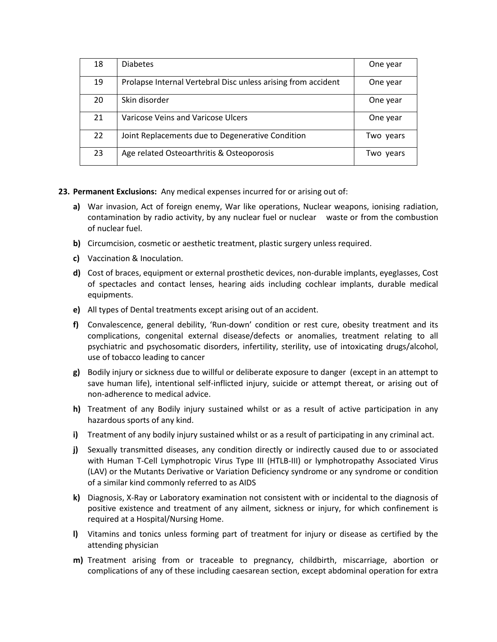| 18 | <b>Diabetes</b>                                               | One year  |
|----|---------------------------------------------------------------|-----------|
| 19 | Prolapse Internal Vertebral Disc unless arising from accident | One year  |
| 20 | Skin disorder                                                 | One year  |
| 21 | Varicose Veins and Varicose Ulcers                            | One year  |
| 22 | Joint Replacements due to Degenerative Condition              | Two years |
| 23 | Age related Osteoarthritis & Osteoporosis                     | Two years |

**23. Permanent Exclusions:** Any medical expenses incurred for or arising out of:

- **a)** War invasion, Act of foreign enemy, War like operations, Nuclear weapons, ionising radiation, contamination by radio activity, by any nuclear fuel or nuclear waste or from the combustion of nuclear fuel.
- **b)** Circumcision, cosmetic or aesthetic treatment, plastic surgery unless required.
- **c)** Vaccination & Inoculation.
- **d)** Cost of braces, equipment or external prosthetic devices, non-durable implants, eyeglasses, Cost of spectacles and contact lenses, hearing aids including cochlear implants, durable medical equipments.
- **e)** All types of Dental treatments except arising out of an accident.
- **f)** Convalescence, general debility, 'Run-down' condition or rest cure, obesity treatment and its complications, congenital external disease/defects or anomalies, treatment relating to all psychiatric and psychosomatic disorders, infertility, sterility, use of intoxicating drugs/alcohol, use of tobacco leading to cancer
- **g)** Bodily injury or sickness due to willful or deliberate exposure to danger (except in an attempt to save human life), intentional self-inflicted injury, suicide or attempt thereat, or arising out of non-adherence to medical advice.
- **h)** Treatment of any Bodily injury sustained whilst or as a result of active participation in any hazardous sports of any kind.
- **i)** Treatment of any bodily injury sustained whilst or as a result of participating in any criminal act.
- **j)** Sexually transmitted diseases, any condition directly or indirectly caused due to or associated with Human T-Cell Lymphotropic Virus Type III (HTLB-III) or lymphotropathy Associated Virus (LAV) or the Mutants Derivative or Variation Deficiency syndrome or any syndrome or condition of a similar kind commonly referred to as AIDS
- **k)** Diagnosis, X-Ray or Laboratory examination not consistent with or incidental to the diagnosis of positive existence and treatment of any ailment, sickness or injury, for which confinement is required at a Hospital/Nursing Home.
- **l)** Vitamins and tonics unless forming part of treatment for injury or disease as certified by the attending physician
- **m)** Treatment arising from or traceable to pregnancy, childbirth, miscarriage, abortion or complications of any of these including caesarean section, except abdominal operation for extra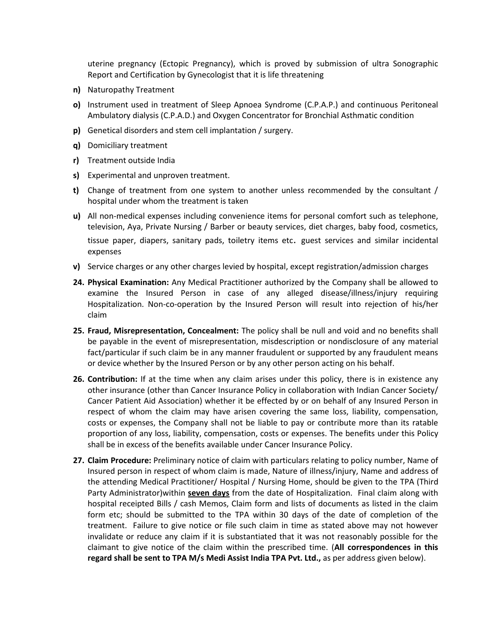uterine pregnancy (Ectopic Pregnancy), which is proved by submission of ultra Sonographic Report and Certification by Gynecologist that it is life threatening

- **n)** Naturopathy Treatment
- **o)** Instrument used in treatment of Sleep Apnoea Syndrome (C.P.A.P.) and continuous Peritoneal Ambulatory dialysis (C.P.A.D.) and Oxygen Concentrator for Bronchial Asthmatic condition
- **p)** Genetical disorders and stem cell implantation / surgery.
- **q)** Domiciliary treatment
- **r)** Treatment outside India
- **s)** Experimental and unproven treatment.
- **t)** Change of treatment from one system to another unless recommended by the consultant / hospital under whom the treatment is taken
- **u)** All non-medical expenses including convenience items for personal comfort such as telephone, television, Aya, Private Nursing / Barber or beauty services, diet charges, baby food, cosmetics, tissue paper, diapers, sanitary pads, toiletry items etc. guest services and similar incidental expenses
- **v)** Service charges or any other charges levied by hospital, except registration/admission charges
- **24. Physical Examination:** Any Medical Practitioner authorized by the Company shall be allowed to examine the Insured Person in case of any alleged disease/illness/injury requiring Hospitalization. Non-co-operation by the Insured Person will result into rejection of his/her claim
- **25. Fraud, Misrepresentation, Concealment:** The policy shall be null and void and no benefits shall be payable in the event of misrepresentation, misdescription or nondisclosure of any material fact/particular if such claim be in any manner fraudulent or supported by any fraudulent means or device whether by the Insured Person or by any other person acting on his behalf.
- **26. Contribution:** If at the time when any claim arises under this policy, there is in existence any other insurance (other than Cancer Insurance Policy in collaboration with Indian Cancer Society/ Cancer Patient Aid Association) whether it be effected by or on behalf of any Insured Person in respect of whom the claim may have arisen covering the same loss, liability, compensation, costs or expenses, the Company shall not be liable to pay or contribute more than its ratable proportion of any loss, liability, compensation, costs or expenses. The benefits under this Policy shall be in excess of the benefits available under Cancer Insurance Policy.
- **27. Claim Procedure:** Preliminary notice of claim with particulars relating to policy number, Name of Insured person in respect of whom claim is made, Nature of illness/injury, Name and address of the attending Medical Practitioner/ Hospital / Nursing Home, should be given to the TPA (Third Party Administrator)within **seven days** from the date of Hospitalization. Final claim along with hospital receipted Bills / cash Memos, Claim form and lists of documents as listed in the claim form etc; should be submitted to the TPA within 30 days of the date of completion of the treatment. Failure to give notice or file such claim in time as stated above may not however invalidate or reduce any claim if it is substantiated that it was not reasonably possible for the claimant to give notice of the claim within the prescribed time. (**All correspondences in this regard shall be sent to TPA M/s Medi Assist India TPA Pvt. Ltd.,** as per address given below).